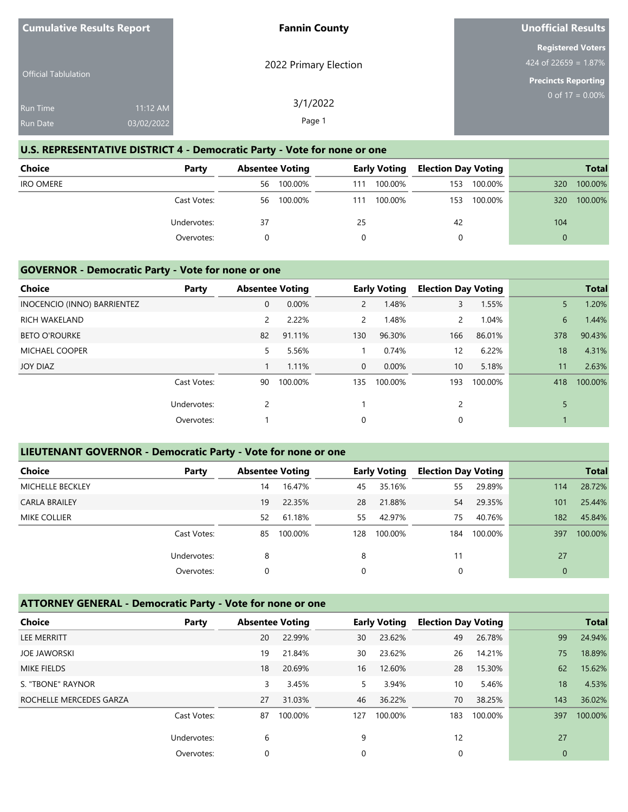| <b>Cumulative Results Report</b> |            | <b>Fannin County</b>  | <b>Unofficial Results</b>                           |
|----------------------------------|------------|-----------------------|-----------------------------------------------------|
|                                  |            | 2022 Primary Election | <b>Registered Voters</b><br>424 of 22659 = $1.87\%$ |
| <b>Official Tablulation</b>      |            |                       | <b>Precincts Reporting</b>                          |
| <b>Run Time</b>                  | 11:12 AM   | 3/1/2022              | 0 of $17 = 0.00\%$                                  |
| <b>Run Date</b>                  | 03/02/2022 | Page 1                |                                                     |

## **U.S. REPRESENTATIVE DISTRICT 4 - Democratic Party - Vote for none or one**

| <b>Choice</b>    | Party       | <b>Absentee Voting</b> |     | <b>Early Voting</b> | <b>Election Day Voting</b> |         |          | <b>Total</b> |
|------------------|-------------|------------------------|-----|---------------------|----------------------------|---------|----------|--------------|
| <b>IRO OMERE</b> |             | 100.00%<br>56          | 111 | 100.00%             | 153                        | 100.00% | 320      | 100.00%      |
|                  | Cast Votes: | 100.00%<br>56          | 111 | 100.00%             | 153                        | 100.00% | 320      | 100.00%      |
|                  | Undervotes: | 37                     | 25  |                     | 42                         |         | 104      |              |
|                  | Overvotes:  |                        |     |                     | 0                          |         | $\Omega$ |              |

### **GOVERNOR - Democratic Party - Vote for none or one**

| Choice                      | Party       | <b>Absentee Voting</b> |         |                | <b>Early Voting</b> | <b>Election Day Voting</b> |         |     | <b>Total</b> |
|-----------------------------|-------------|------------------------|---------|----------------|---------------------|----------------------------|---------|-----|--------------|
|                             |             |                        |         |                |                     |                            |         |     |              |
| INOCENCIO (INNO) BARRIENTEZ |             | 0                      | 0.00%   | $\overline{2}$ | 1.48%               | 3                          | 1.55%   | 5   | 1.20%        |
| <b>RICH WAKELAND</b>        |             | 2                      | 2.22%   | $\mathbf{2}$   | 1.48%               | $\mathbf{2}$               | 1.04%   | 6   | 1.44%        |
| <b>BETO O'ROURKE</b>        |             | 82                     | 91.11%  | 130            | 96.30%              | 166                        | 86.01%  | 378 | 90.43%       |
| <b>MICHAEL COOPER</b>       |             | 5                      | 5.56%   |                | 0.74%               | $12 \overline{ }$          | 6.22%   | 18  | 4.31%        |
| JOY DIAZ                    |             |                        | 1.11%   | $\overline{0}$ | $0.00\%$            | 10 <sup>°</sup>            | 5.18%   | 11  | 2.63%        |
|                             | Cast Votes: | 90                     | 100.00% | 135            | 100.00%             | 193                        | 100.00% | 418 | 100.00%      |
|                             | Undervotes: | 2                      |         |                |                     | 2                          |         |     |              |
|                             | Overvotes:  |                        |         | $\Omega$       |                     | 0                          |         |     |              |

## **LIEUTENANT GOVERNOR - Democratic Party - Vote for none or one**

| <b>Choice</b>           | Party       | <b>Absentee Voting</b> |         |     | <b>Early Voting</b> | <b>Election Day Voting</b> |         |              | <b>Total</b> |
|-------------------------|-------------|------------------------|---------|-----|---------------------|----------------------------|---------|--------------|--------------|
| <b>MICHELLE BECKLEY</b> |             | 14                     | 16.47%  | 45  | 35.16%              | 55                         | 29.89%  | 114          | 28.72%       |
| <b>CARLA BRAILEY</b>    |             | 19                     | 22.35%  | 28  | 21.88%              | 54                         | 29.35%  | 101          | 25.44%       |
| <b>MIKE COLLIER</b>     |             | 52                     | 61.18%  | 55  | 42.97%              | 75                         | 40.76%  | 182          | 45.84%       |
|                         | Cast Votes: | 85                     | 100.00% | 128 | 100.00%             | 184                        | 100.00% | 397          | 100.00%      |
|                         | Undervotes: | 8                      |         | 8   |                     | 11                         |         | 27           |              |
|                         | Overvotes:  | 0                      |         | 0   |                     | 0                          |         | $\mathbf{0}$ |              |

## **ATTORNEY GENERAL - Democratic Party - Vote for none or one**

| <b>Choice</b>           | Party       | <b>Absentee Voting</b> |         |     | <b>Early Voting</b> | <b>Election Day Voting</b> |         |              | <b>Total</b> |
|-------------------------|-------------|------------------------|---------|-----|---------------------|----------------------------|---------|--------------|--------------|
| <b>LEE MERRITT</b>      |             | 20                     | 22.99%  | 30  | 23.62%              | 49                         | 26.78%  | 99           | 24.94%       |
| <b>JOE JAWORSKI</b>     |             | 19                     | 21.84%  | 30  | 23.62%              | 26                         | 14.21%  | 75           | 18.89%       |
| <b>MIKE FIELDS</b>      |             | 18                     | 20.69%  | 16  | 12.60%              | 28                         | 15.30%  | 62           | 15.62%       |
| S. "TBONE" RAYNOR       |             | 3                      | 3.45%   | 5.  | 3.94%               | 10                         | 5.46%   | 18           | 4.53%        |
| ROCHELLE MERCEDES GARZA |             | 27                     | 31.03%  | 46  | 36.22%              | 70                         | 38.25%  | 143          | 36.02%       |
|                         | Cast Votes: | 87                     | 100.00% | 127 | 100.00%             | 183                        | 100.00% | 397          | 100.00%      |
|                         | Undervotes: | 6                      |         | 9   |                     | 12                         |         | 27           |              |
|                         | Overvotes:  | $\mathbf 0$            |         | 0   |                     | 0                          |         | $\mathbf{0}$ |              |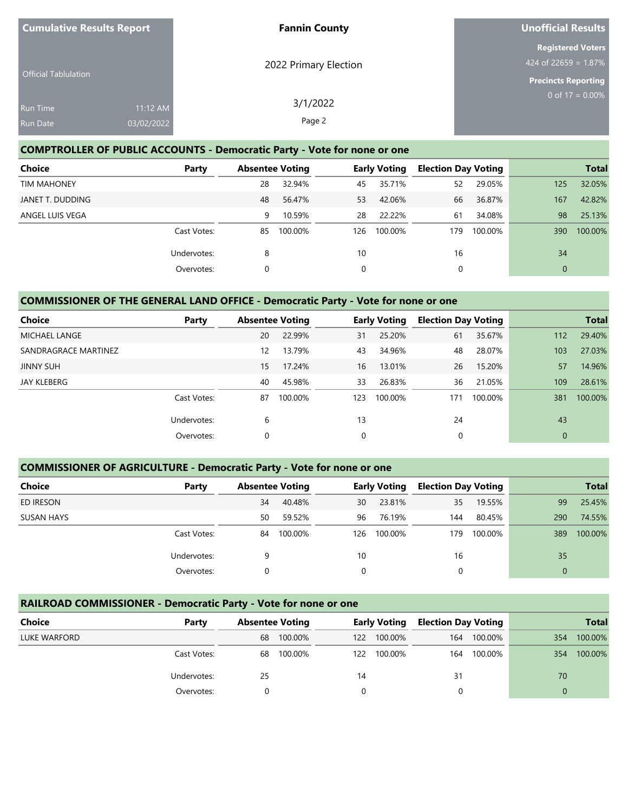| <b>Cumulative Results Report</b> |            | <b>Fannin County</b>  | Unofficial Results                               |
|----------------------------------|------------|-----------------------|--------------------------------------------------|
| <b>Official Tablulation</b>      |            | 2022 Primary Election | <b>Registered Voters</b><br>424 of 22659 = 1.87% |
|                                  |            |                       | <b>Precincts Reporting</b>                       |
| <b>Run Time</b>                  | 11:12 AM   | 3/1/2022              | 0 of $17 = 0.00\%$                               |
| <b>Run Date</b>                  | 03/02/2022 | Page 2                |                                                  |

## **COMPTROLLER OF PUBLIC ACCOUNTS - Democratic Party - Vote for none or one**

| <b>Choice</b>      | Party       |    | <b>Absentee Voting</b> |     | <b>Early Voting</b> | <b>Election Day Voting</b> |         |              | <b>Total</b> |
|--------------------|-------------|----|------------------------|-----|---------------------|----------------------------|---------|--------------|--------------|
| <b>TIM MAHONEY</b> |             | 28 | 32.94%                 | 45  | 35.71%              | 52                         | 29.05%  | 125          | 32.05%       |
| JANET T. DUDDING   |             | 48 | 56.47%                 | 53  | 42.06%              | 66                         | 36.87%  | 167          | 42.82%       |
| ANGEL LUIS VEGA    |             | 9  | 10.59%                 | 28  | 22.22%              | 61                         | 34.08%  | 98           | 25.13%       |
|                    | Cast Votes: | 85 | 100.00%                | 126 | 100.00%             | 179                        | 100.00% | 390          | 100.00%      |
|                    | Undervotes: | 8  |                        | 10  |                     | 16                         |         | 34           |              |
|                    | Overvotes:  | 0  |                        | 0   |                     | 0                          |         | $\mathbf{0}$ |              |

# **COMMISSIONER OF THE GENERAL LAND OFFICE - Democratic Party - Vote for none or one**

| <b>Choice</b>        | Party       | <b>Absentee Voting</b> |         |             | <b>Early Voting</b> | <b>Election Day Voting</b> |         |              | <b>Total</b> |
|----------------------|-------------|------------------------|---------|-------------|---------------------|----------------------------|---------|--------------|--------------|
| <b>MICHAEL LANGE</b> |             | 20                     | 22.99%  | 31          | 25.20%              | 61                         | 35.67%  | 112          | 29.40%       |
| SANDRAGRACE MARTINEZ |             | 12                     | 13.79%  | 43          | 34.96%              | 48                         | 28.07%  | 103          | 27.03%       |
| <b>JINNY SUH</b>     |             | 15                     | 17.24%  | 16          | 13.01%              | 26                         | 15.20%  | 57           | 14.96%       |
| JAY KLEBERG          |             | 40                     | 45.98%  | 33          | 26.83%              | 36                         | 21.05%  | 109          | 28.61%       |
|                      | Cast Votes: | 87                     | 100.00% | 123         | 100.00%             | 171                        | 100.00% | 381          | 100.00%      |
|                      | Undervotes: | 6                      |         | 13          |                     | 24                         |         | 43           |              |
|                      | Overvotes:  | 0                      |         | $\mathbf 0$ |                     | 0                          |         | $\mathbf{0}$ |              |

## **COMMISSIONER OF AGRICULTURE - Democratic Party - Vote for none or one**

| Choice            | Party       | <b>Absentee Voting</b> |         |     | <b>Early Voting</b> | <b>Election Day Voting</b> |         |          | <b>Total</b> |
|-------------------|-------------|------------------------|---------|-----|---------------------|----------------------------|---------|----------|--------------|
| ED IRESON         |             | 34                     | 40.48%  | 30  | 23.81%              | 35                         | 19.55%  | 99       | 25.45%       |
| <b>SUSAN HAYS</b> |             | 50                     | 59.52%  | 96  | 76.19%              | 144                        | 80.45%  | 290      | 74.55%       |
|                   | Cast Votes: | 84                     | 100.00% | 126 | 100.00%             | 179                        | 100.00% | 389      | 100.00%      |
|                   | Undervotes: | 9                      |         | 10  |                     | 16                         |         | 35       |              |
|                   | Overvotes:  | 0                      |         | 0   |                     | 0                          |         | $\Omega$ |              |

## **RAILROAD COMMISSIONER - Democratic Party - Vote for none or one**

| Choice       | Party       |    | <b>Absentee Voting</b> |     | <b>Early Voting</b> | <b>Election Day Voting</b> |         |     | <b>Total</b> |
|--------------|-------------|----|------------------------|-----|---------------------|----------------------------|---------|-----|--------------|
| LUKE WARFORD |             | 68 | 100.00%                | 122 | 100.00%             | 164                        | 100.00% | 354 | 100.00%      |
|              | Cast Votes: | 68 | 100.00%                | 122 | 100.00%             | 164                        | 100.00% | 354 | 100.00%      |
|              | Undervotes: | 25 |                        | 14  |                     | 31                         |         | 70  |              |
|              | Overvotes:  |    |                        |     |                     |                            |         | 0   |              |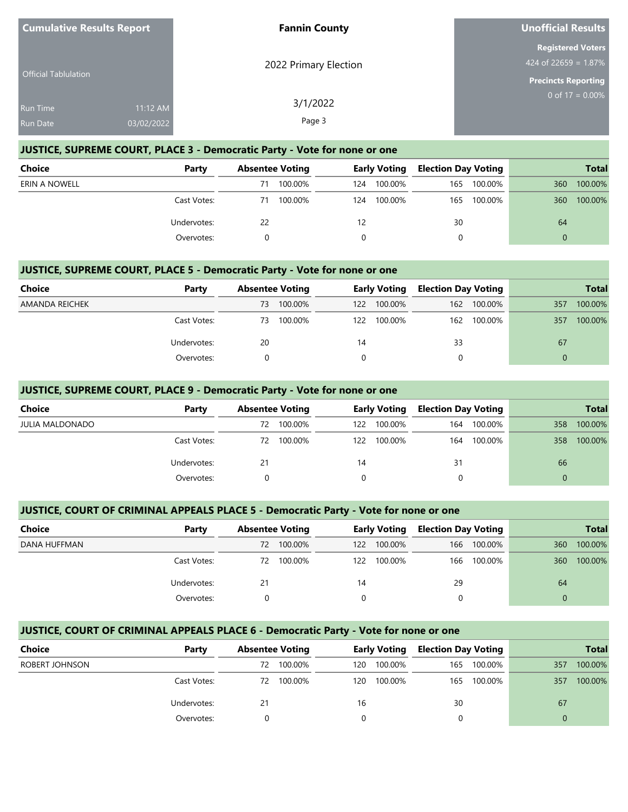| <b>Cumulative Results Report</b> |                        | <b>Fannin County</b>  | Unofficial Results                                                               |
|----------------------------------|------------------------|-----------------------|----------------------------------------------------------------------------------|
| <b>Official Tablulation</b>      |                        | 2022 Primary Election | <b>Registered Voters</b><br>$424$ of 22659 = 1.87%<br><b>Precincts Reporting</b> |
| <b>Run Time</b><br>Run Date      | 11:12 AM<br>03/02/2022 | 3/1/2022<br>Page 3    | 0 of $17 = 0.00\%$                                                               |

### **JUSTICE, SUPREME COURT, PLACE 3 - Democratic Party - Vote for none or one**

| Choice        | Party       |    | <b>Absentee Voting</b> |     | <b>Early Voting</b> | <b>Election Day Voting</b> |         |          | <b>Total</b> |
|---------------|-------------|----|------------------------|-----|---------------------|----------------------------|---------|----------|--------------|
| ERIN A NOWELL |             | 71 | 100.00%                | 124 | 100.00%             | 165                        | 100.00% | 360      | 100.00%      |
|               | Cast Votes: | 71 | 100.00%                | 124 | 100.00%             | 165                        | 100.00% | 360      | 100.00%      |
|               | Undervotes: | 22 |                        | 12  |                     | 30                         |         | 64       |              |
|               | Overvotes:  |    |                        |     |                     | 0                          |         | $\Omega$ |              |

### **JUSTICE, SUPREME COURT, PLACE 5 - Democratic Party - Vote for none or one**

| Choice         | Party       | <b>Absentee Voting</b> |         | <b>Early Voting</b> |             | <b>Election Day Voting</b> |         |          | <b>Total</b> |
|----------------|-------------|------------------------|---------|---------------------|-------------|----------------------------|---------|----------|--------------|
| AMANDA REICHEK |             | 73                     | 100.00% | 122                 | 100.00%     | 162                        | 100.00% | 357      | 100.00%      |
|                | Cast Votes: | 73                     | 100.00% |                     | 122 100.00% | 162                        | 100.00% | 357      | 100.00%      |
|                | Undervotes: | 20                     |         | 14                  |             | 33                         |         | 67       |              |
|                | Overvotes:  |                        |         |                     |             |                            |         | $\Omega$ |              |

### **JUSTICE, SUPREME COURT, PLACE 9 - Democratic Party - Vote for none or one**

| <b>Choice</b>          | Party       | <b>Absentee Voting</b> |         | <b>Early Voting</b> |         | <b>Election Day Voting</b> |         | <b>Total</b> |         |
|------------------------|-------------|------------------------|---------|---------------------|---------|----------------------------|---------|--------------|---------|
| <b>JULIA MALDONADO</b> |             | 72                     | 100.00% | 122.                | 100.00% | 164                        | 100.00% | 358          | 100.00% |
|                        | Cast Votes: | 72                     | 100.00% | 122                 | 100.00% | 164                        | 100.00% | 358          | 100.00% |
|                        | Undervotes: | 21                     |         | 14                  |         | 31                         |         | 66           |         |
|                        | Overvotes:  |                        |         | $\Omega$            |         | $\Omega$                   |         | $\Omega$     |         |

### **JUSTICE, COURT OF CRIMINAL APPEALS PLACE 5 - Democratic Party - Vote for none or one**

| Choice       | Party       | <b>Absentee Voting</b> |         | <b>Early Voting</b> |         | <b>Election Day Voting</b> |         | <b>Total</b> |         |
|--------------|-------------|------------------------|---------|---------------------|---------|----------------------------|---------|--------------|---------|
| DANA HUFFMAN |             | 72                     | 100.00% | 122                 | 100.00% | 166                        | 100.00% | 360          | 100.00% |
|              | Cast Votes: | 72                     | 100.00% | 122                 | 100.00% | 166                        | 100.00% | 360          | 100.00% |
|              | Undervotes: | 21                     |         | 14                  |         | 29                         |         | 64           |         |
|              | Overvotes:  |                        |         |                     |         |                            |         | 0            |         |

### **JUSTICE, COURT OF CRIMINAL APPEALS PLACE 6 - Democratic Party - Vote for none or one**

| Choice         | Party       | <b>Absentee Voting</b> |         | <b>Early Voting</b> |         | <b>Election Day Voting</b> |             | <b>Total</b> |         |
|----------------|-------------|------------------------|---------|---------------------|---------|----------------------------|-------------|--------------|---------|
| ROBERT JOHNSON |             | 72                     | 100.00% | 120                 | 100.00% | 165                        | 100.00%     | 357          | 100.00% |
|                | Cast Votes: | 72                     | 100.00% | 120.                | 100.00% |                            | 165 100.00% | 357          | 100.00% |
|                | Undervotes: | 21                     |         | 16                  |         | 30                         |             | 67           |         |
|                | Overvotes:  |                        |         |                     |         |                            |             |              |         |